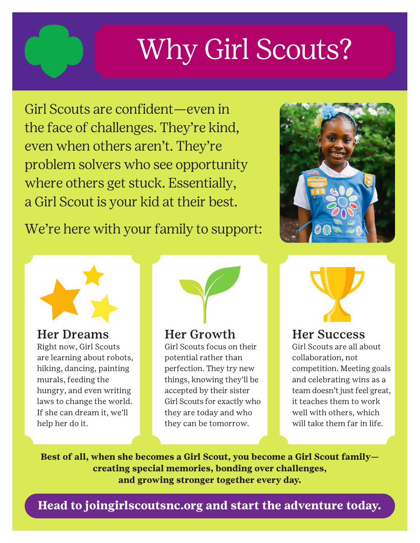# Why Girl Scouts?

Girl Scouts are confident—even in the face of challenges. They're kind, even when others aren't. They're problem solvers who see opportunity where others get stuck. Essentially, a Girl Scout is your kid at their best.

We're here with your family to support:





Her Dreams

Right now, Girl Scouts are learning about robots, hiking, dancing, painting murals, feeding the hungry, and even writing laws to change the world. If she can dream it, we'll help her do it.



## Her Growth

Girl Scouts focus on their potential rather than perfection. They try new things, knowing they'll be accepted by their sister Girl Scouts for exactly who they are today and who they can be tomorrow.



## Her Success

Girl Scouts are all about collaboration, not competition. Meeting goals and celebrating wins as a team doesn't just feel great, it teaches them to work well with others, which will take them far in life.

**Best of all, when she becomes a Girl Scout, you become a Girl Scout family creating special memories, bonding over challenges, and growing stronger together every day.** 

**Head to joingirlscoutsnc.org and start the adventure today.**